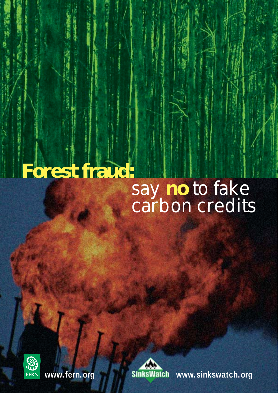# **Forest fraud:** say **no** to fake carbon credits





**www.fern.org www.sinkswatch.org**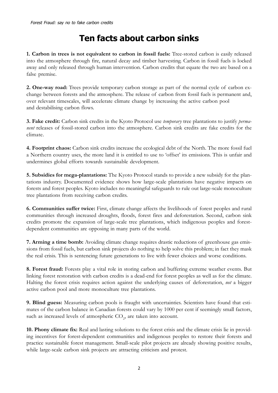# **Ten facts about carbon sinks**

**1. Carbon in trees is not equivalent to carbon in fossil fuels:** Tree-stored carbon is easily released into the atmosphere through fire, natural decay and timber harvesting. Carbon in fossil fuels is locked away and only released through human intervention. Carbon credits that equate the two are based on a false premise.

**2. One-way road:** Trees provide temporary carbon storage as part of the normal cycle of carbon exchange between forests and the atmosphere. The release of carbon from fossil fuels is permanent and, over relevant timescales, will accelerate climate change by increasing the active carbon pool and destabilising carbon flows.

**3. Fake credit:** Carbon sink credits in the Kyoto Protocol use *temporary* tree plantations to justify *permanent* releases of fossil-stored carbon into the atmosphere. Carbon sink credits are fake credits for the climate.

**4. Footprint chaos:** Carbon sink credits increase the ecological debt of the North. The more fossil fuel a Northern country uses, the more land it is entitled to use to 'offset' its emissions. This is unfair and undermines global efforts towards sustainable development.

**5. Subsidies for mega-plantations:** The Kyoto Protocol stands to provide a new subsidy for the plantations industry. Documented evidence shows how large-scale plantations have negative impacts on forests and forest peoples. Kyoto includes no meaningful safeguards to rule out large-scale monoculture tree plantations from receiving carbon credits.

**6. Communities suffer twice:** First, climate change affects the livelihoods of forest peoples and rural communities through increased droughts, floods, forest fires and deforestation. Second, carbon sink credits promote the expansion of large-scale tree plantations, which indigenous peoples and forestdependent communities are opposing in many parts of the world.

**7. Arming a time bomb:** Avoiding climate change requires drastic reductions of greenhouse gas emissions from fossil fuels, but carbon sink projects do nothing to help solve this problem; in fact they mask the real crisis. This is sentencing future generations to live with fewer choices and worse conditions.

**8. Forest fraud:** Forests play a vital role in storing carbon and buffering extreme weather events. But linking forest restoration with carbon credits is a dead-end for forest peoples as well as for the climate. Halting the forest crisis requires action against the underlying causes of deforestation, *not* a bigger active carbon pool and more monoculture tree plantations.

**9. Blind guess:** Measuring carbon pools is fraught with uncertainties. Scientists have found that estimates of the carbon balance in Canadian forests could vary by 1000 per cent if seemingly small factors, such as increased levels of atmospheric  $\mathrm{CO}_2$ , are taken into account.

**10. Phony climate fix:** Real and lasting solutions to the forest crisis and the climate crisis lie in providing incentives for forest-dependent communities and indigenous peoples to restore their forests and practice sustainable forest management. Small-scale pilot projects are already showing positive results, while large-scale carbon sink projects are attracting criticism and protest.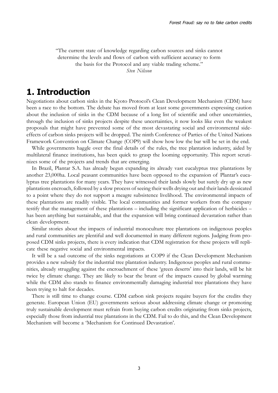"The current state of knowledge regarding carbon sources and sinks cannot determine the levels and flows of carbon with sufficient accuracy to form the basis for the Protocol and any viable trading scheme." *Sten Nilsson*

# **1. Introduction**

Negotiations about carbon sinks in the Kyoto Protocol's Clean Development Mechanism (CDM) have been a race to the bottom. The debate has moved from at least some governments expressing caution about the inclusion of sinks in the CDM because of a long list of scientific and other uncertainties, through the inclusion of sinks projects despite these uncertainties, it now looks like even the weakest proposals that might have prevented some of the most devastating social and environmental sideeffects of carbon sinks projects will be dropped. The ninth Conference of Parties of the United Nations Framework Convention on Climate Change (COP9) will show how low the bar will be set in the end.

While governments haggle over the final details of the rules, the tree plantation industry, aided by multilateral finance institutions, has been quick to grasp the looming opportunity. This report scrutinizes some of the projects and trends that are emerging.

In Brazil, Plantar S.A. has already begun expanding its already vast eucalyptus tree plantations by another 23,000ha. Local peasant communities have been opposed to the expansion of Plantar's eucalyptus tree plantations for many years. They have witnessed their lands slowly but surely dry up as new plantations encroach, followed by a slow process of seeing their wells drying out and their lands dessicated to a point where they do not support a meagre subsistence livelihood. The environmental impacts of these plantations are readily visible. The local communities and former workers from the company testify that the management of these plantations – including the significant application of herbicides – has been anything but sustainable, and that the expansion will bring continued devastation rather than clean development.

Similar stories about the impacts of industrial monoculture tree plantations on indigenous peoples and rural communities are plentiful and well documented in many different regions. Judging from proposed CDM sinks projects, there is every indication that CDM registration for these projects will replicate these negative social and environmental impacts.

It will be a sad outcome of the sinks negotiations at COP9 if the Clean Development Mechanism provides a new subsidy for the industrial tree plantation industry. Indigenous peoples and rural communities, already struggling against the encroachment of these 'green deserts' into their lands, will be hit twice by climate change. They are likely to bear the brunt of the impacts caused by global warming while the CDM also stands to finance environmentally damaging industrial tree plantations they have been trying to halt for decades.

There is still time to change course. CDM carbon sink projects require buyers for the credits they generate. European Union (EU) governments serious about addressing climate change or promoting truly sustainable development must refrain from buying carbon credits originating from sinks projects, especially those from industrial tree plantations in the CDM. Fail to do this, and the Clean Development Mechanism will become a 'Mechanism for Continued Devastation'.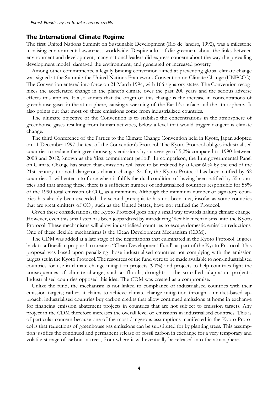#### **The International Climate Regime**

The first United Nations Summit on Sustainable Development (Rio de Janeiro, 1992), was a milestone in raising environmental awareness worldwide. Despite a lot of disagreement about the links between environment and development, many national leaders did express concern about the way the prevailing development model damaged the environment, and generated or increased poverty.

Among other commitments, a legally binding convention aimed at preventing global climate change was signed at the Summit: the United Nations Framework Convention on Climate Change (UNFCCC). The Convention entered into force on 21 March 1994, with 166 signatory states. The Convention recognizes the accelerated change in the planet's climate over the past 200 years and the serious adverse effects this implies. It also admits that the origin of this change is the increase in concentrations of greenhouse gases in the atmosphere, causing a warming of the Earth's surface and the atmosphere. It also points out that most of these emissions come from industrialized countries.

The ultimate objective of the Convention is to stabilise the concentrations in the atmosphere of greenhouse gases resulting from human activities, below a level that would trigger dangerous climate change.

The third Conference of the Parties to the Climate Change Convention held in Kyoto, Japan adopted on 11 December 1997 the text of the Convention's Protocol. The Kyoto Protocol obliges industrialised countries to reduce their greenhouse gas emissions by an average of 5,2% compared to 1990 between 2008 and 2012, known as the 'first commitment period'. In comparison, the Intergovernmental Panel on Climate Change has stated that emissions will have to be reduced by at least 60% by the end of the 21st century to avoid dangerous climate change. So far, the Kyoto Protocol has been ratified by 62 countries. It will enter into force when it fulfils the dual condition of having been ratified by 55 countries and that among these, there is a sufficient number of industrialized countries responsible for 55% of the 1990 total emission of  $CO_2$ , as a minimum. Although the minimum number of signatory countries has already been exceeded, the second prerequisite has not been met, insofar as some countries that are great emitters of  $\mathrm{CO}_2$ , such as the United States, have not ratified the Protocol.

Given these considerations, the Kyoto Protocol goes only a small way towards halting climate change. However, even this small step has been jeopardized by introducing 'flexible mechanisms' into the Kyoto Protocol. These mechanisms will allow industrialised countries to escape domestic emission reductions. One of these flexible mechanisms is the Clean Development Mechanism (CDM).

The CDM was added at a late stage of the negotiations that culminated in the Kyoto Protocol. It goes back to a Brazilian proposal to create a "Clean Development Fund" as part of the Kyoto Protocol. This proposal was based upon penalizing those industrialised countries not complying with the emission targets set in the Kyoto Protocol. The resources of the fund were to be made available to non-industrialised countries for use in climate change mitigation projects (90%) and projects to help countries fight the consequences of climate change, such as floods, droughts – the so-called adaptation projects. Industrialised countries opposed this idea. The CDM was created as a compromise.

Unlike the fund, the mechanism is not linked to compliance of industrialised countries with their emission targets; rather, it claims to achieve climate change mitigation through a market-based approach: industrialised countries buy carbon credits that allow continued emissions at home in exchange for financing emission abatement projects in countries that are not subject to emission targets. Any project in the CDM therefore increases the overall level of emissions in industrialised countries. This is of particular concern because one of the most dangerous assumptions manifested in the Kyoto Protocol is that reductions of greenhouse gas emissions can be substituted for by planting trees. This assumption justifies the continued and permanent release of fossil carbon in exchange for a very temporary and volatile storage of carbon in trees, from where it will eventually be released into the atmosphere.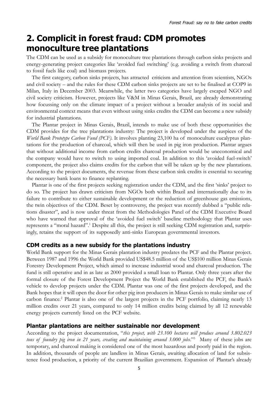# **2. Complicit in forest fraud: CDM promotes monoculture tree plantations**

The CDM can be used as a subsidy for monoculture tree plantations through carbon sinks projects and energy-generating project categories like 'avoided fuel switching' (e.g. avoiding a switch from charcoal to fossil fuels like coal) and biomass projects.

The first category, carbon sinks projects, has attracted criticism and attention from scientists, NGOs and civil society – and the rules for these CDM carbon sinks projects are set to be finalised at COP9 in Milan, Italy in December 2003. Meanwhile, the latter two categories have largely escaped NGO and civil society criticism. However, projects like V&M in Minas Gerais, Brazil, are already demonstrating how focussing only on the climate impact of a project without a broader analysis of its social and environmental context means that even without using sinks credits the CDM can become a new subsidy for industrial plantations.

The Plantar project in Minas Gerais, Brazil, intends to make use of both these opportunities the CDM provides for the tree plantations industry: The project is developed under the auspices of the *World Bank Prototype Carbon Fund (PCF).* It involves planting 23,100 ha of monoculture eucalyptus plantations for the production of charcoal, which will then be used in pig iron production. Plantar argues that without additional income from carbon credits charcoal production would be uneconomical and the company would have to switch to using imported coal. In addition to this 'avoided fuel-switch' component, the project also claims credits for the carbon that will be taken up by the new plantations. According to the project documents, the revenue from these carbon sink credits is essential to securing the necessary bank loans to finance replanting.

Plantar is one of the first projects seeking registration under the CDM, and the first 'sinks' project to do so. The project has drawn criticism from NGOs both within Brazil and internationally due to its failure to contribute to either sustainable development or the reduction of greenhouse gas emissions, the twin objectives of the CDM. Beset by controversy, the project was recently dubbed a "public relations disaster", and is now under threat from the Methodologies Panel of the CDM Executive Board who have warned that approval of the 'avoided fuel switch' baseline methodology that Plantar uses represents a "moral hazard".1 Despite all this, the project is still seeking CDM registration and, surprisingly, retains the support of its supposedly anti-sinks European governmental investors.

# **CDM credits as a new subsidy for the plantations industry**

World Bank support for the Minas Gerais plantation industry predates the PCF and the Plantar project. Between 1987 and 1996 the World Bank provided US\$48.5 million of the US\$100 million Minas Gerais Forestry Development Project, which aimed to increase industrial wood and charcoal production. The fund is still operative and in as late as 2000 provided a small loan to Plantar. Only three years after the formal closure of the Forest Development Project the World Bank established the PCF, the Bank's vehicle to develop projects under the CDM. Plantar was one of the first projects developed, and the Bank hopes that it will open the door for other pig iron producers in Minas Gerais to make similar use of carbon finance.<sup>2</sup> Plantar is also one of the largest projects in the PCF portfolio, claiming nearly 13 million credits over 21 years, compared to only 14 million credits being claimed by all 12 renewable energy projects currently listed on the PCF website.

# **Plantar plantations are neither sustainable nor development**

According to the project documentation, "*this project, with 23.100 hectares will produce around 3.802.023* tons of foundry pig iron in 21 years, creating and maintaining around 3.000 jobs."<sup>3</sup> Many of these jobs are temporary, and charcoal making is considered one of the most hazardous and poorly paid in the region. In addition, thousands of people are landless in Minas Gerais, awaiting allocation of land for subsistence food production, a priority of the current Brazilian government. Expansion of Plantar's already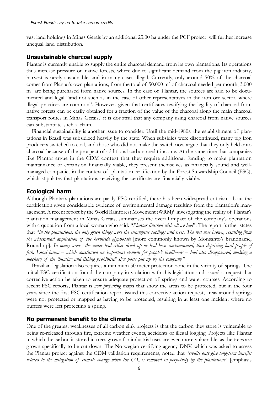vast land holdings in Minas Gerais by an additional 23.00 ha under the PCF project will further increase unequal land distribution.

#### **Unsustainable charcoal supply**

Plantar is currently unable to supply the entire charcoal demand from its own plantations. Its operations thus increase pressure on native forests, where due to significant demand from the pig iron industry, harvest is rarely sustainable, and in many cases illegal. Currently, only around 50% of the charcoal comes from Plantar's own plantations; from the total of 50.000 m<sup>3</sup> of charcoal needed per month, 3.000 m<sup>3</sup> are being purchased from native sources. In the case of Plantar, the sources are said to be documented and legal "and not such as in the case of other representatives in the iron ore sector, where illegal practices are common". However, given that certificates testifying the legality of charcoal from native forests can be easily obtained for a fraction of the value of the charcoal along the main charcoal transport routes in Minas Gerais,<sup>4</sup> it is doubtful that any company using charcoal from native sources can substantiate such a claim.

Financial sustainability is another issue to consider. Until the mid-1980s, the establishment of plantations in Brazil was subsidized heavily by the state. When subsidies were discontinued, many pig iron producers switched to coal, and those who did not make the switch now argue that they only held onto charcoal because of the prospect of additional carbon credit income. At the same time that companies like Plantar argue in the CDM context that they require additional funding to make plantation maintainance or expansion financially viable, they present themselves as financially sound and wellmanaged companies in the context of plantation certification by the Forest Stewardship Council (FSC), which stipulates that plantations receiving the certificate are financially viable.

#### **Ecological harm**

Although Plantar's plantations are partly FSC certified, there has been widespread criticism about the certification given considerable evidence of environmental damage resulting from the plantation's management. A recent report by the World Rainforest Movement (WRM)<sup>5</sup> investigating the reality of Plantar's plantation management in Minas Gerais, summarises the overall impact of the company's operations with a quotation from a local woman who said: "*Plantar finished with all we had*". The report further states that "*in the plantations, the only green things were the eucalyptus saplings and trees. The rest was brown, resulting from the widespread application of the herbicide glyphosate* [more commonly known by Monsanto's brandname, Round-up]*. In many areas, the water had either dried up or had been contaminated, thus depriving local people of fish. Local fauna* – *which constituted an important element for people's livelihoods* – *had also disappeared, making a mockery of the 'hunting and fishing prohibited' sign posts put up by the company.*"

Brazilian legislation also requires a minimum 50 meter protection zone in the vicinity of springs. The initial FSC certification found the company in violation with this legislation and issued a request that corrective action be taken to ensure adequate protection of springs and water courses. According to recent FSC reports, Plantar is *now preparing* maps that show the areas to be protected, but in the four years since the first FSC certification report issued this corrective action request, areas around springs were not protected or mapped as having to be protected, resulting in at least one incident where no buffers were left protecting a spring.

#### **No permanent benefit to the climate**

One of the greatest weaknesses of all carbon sink projects is that the carbon they store is vulnerable to being re-released through fire, extreme weather events, accidents or illegal logging. Projects like Plantar in which the carbon is stored in trees grown for industrial uses are even more vulnerable, as the trees are grown specifically to be cut down. The Norwegian certifying agency DNV, which was asked to assess the Plantar project against the CDM validation requirements, noted that "*credits only give long-term benefits related to the mitigation of climate change when the CO<sub>2</sub> is removed <u>in perpetuit</u>y by the plantations" [emphasis*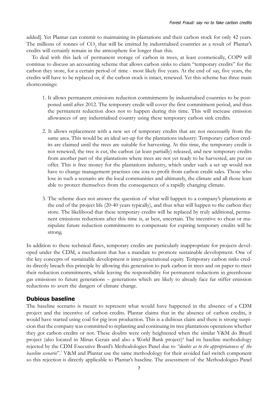added]. Yet Plantar can commit to maintaining its plantations and their carbon stock for only 42 years. The millions of tonnes of  $CO_2$  that will be emitted by industrialised countries as a result of Plantar's credits will certainly remain in the atmosphere for longer than this.

To deal with this lack of permanent storage of carbon in trees, at least cosmetically, COP9 will continue to discuss an accounting scheme that allows carbon sinks to claim "temporary credits" for the carbon they store, for a certain period of time - most likely five years. At the end of say, five years, the credits will have to be replaced or, if the carbon stock is intact, renewed. Yet this scheme has three main shortcomings:

- 1. It allows permanent emissions reduction commitments by industrialised countries to be postponed until after 2012. The temporary credit will cover the first commitment period, and thus the permanent reduction does not to happen during this time. This will increase emission allowances of any industrialised country using these temporary carbon sink credits.
- 2. It allows replacement with a new set of temporary credits that are not necessarily from the same area. This would be an ideal set-up for the plantations industry: Temporary carbon credits are claimed until the trees are suitable for harvesting. At this time, the temporary credit is not renewed, the tree is cut, the carbon (at least partially) released, and new temporary credits from another part of the plantations where trees are not yet ready to be harvested, are put on offer. This is free money for the plantations industry, which under such a set up would not have to change management practises one iota to profit from carbon credit sales. Those who lose in such a scenario are the local communities and ultimately, the climate and all those least able to protect themselves from the consequences of a rapidly changing climate.
- 3. The scheme does not answer the question of what will happen to a company's plantations at the end of the project life (20-40 years typically), and thus what will happen to the carbon they store. The likelihood that these temporary credits will be replaced by truly additional, permanent emissions reductions after this time is, at best, uncertain. The incentive to cheat or manipulate future reduction commitments to compensate for expiring temporary credits will be strong.

In addition to these technical flaws, temporary credits are particularly inappropriate for projects developed under the CDM, a mechanism that has a mandate to promote sustainable development. One of the key concepts of sustainable development is inter-generational equity. Temporary carbon sinks credits directly breach this principle by allowing this generation to park carbon in trees and on paper to meet their reduction commitments, while leaving the responsibility for permanent reductions in greenhouse gas emissions to future generations – generations which are likely to already face far stiffer emission reductions to avert the dangers of climate change.

# **Dubious baseline**

The baseline scenario is meant to represent what would have happened in the absence of a CDM project and the incentive of carbon credits. Plantar claims that in the absence of carbon credits, it would have started using coal for pig iron production. This is a dubious claim and there is strong suspicion that the company was committed to replanting and continuing its tree plantations operations whether they got carbon credits or not. These doubts were only heightened when the similar V&M do Brazil project (also located in Minas Gerais and also a World Bank project)<sup>6</sup> had its baseline methodology rejected by the CDM Executive Board's Methodologies Panel due to *"doubts as to the appropriateness of the* baseline scenario".<sup>7</sup> V&M and Plantar use the same methodology for their avoided fuel switch component so this rejection is directly applicable to Plantar's baseline. The assessment of the Methodologies Panel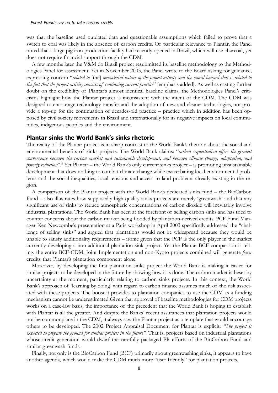was that the baseline used outdated data and questionable assumptions which failed to prove that a switch to coal was likely in the absence of carbon credits. Of particular relevance to Plantar, the Panel noted that a large pig iron production facility had recently opened in Brazil, which will use charcoal, yet does not require financial support through the CDM.

A few months later the V&M do Brazil project resubmitted its baseline methodology to the Methodologies Panel for assessment. Yet in November 2003, the Panel wrote to the Board asking for guidance, expressing concern "*related to* [the] *immaterial nature of the project activity and the moral hazard that is related to the fact that the project activity consists of continuing current practice*" [emphasis added]. As well as casting further doubt on the credibility of Plantar's almost identical baseline claims, the Methodologies Panel's criticisms highlight how the Plantar project is inconsistent with the intent of the CDM. The CDM was designed to encourage technology transfer and the adoption of new and cleaner technologies, not provide a top-up for the continuation of decades-old practice – practice which in addition has been opposed by civil society movements in Brazil and internationally for its negative impacts on local communities, indigenous peoples and the environment.

#### **Plantar sinks the World Bank's sinks rhetoric**

The reality of the Plantar project is in sharp contrast to the World Bank's rhetoric about the social and environmental benefits of sinks projects. The World Bank claims: "*carbon sequestration offers the greatest convergence between the carbon market and sustainable development, and between climate change, adaptation, and poverty reduction*".8 Yet Plantar – the World Bank's only current sinks project – is promoting unsustainable development that does nothing to combat climate change while exacerbating local environmental problems and the social inequalities, local tensions and access to land problems already existing in the region.

A comparison of the Plantar project with the World Bank's dedicated sinks fund – the BioCarbon Fund – also illustrates how supposedly high-quality sinks projects are merely 'greenwash' and that any significant use of sinks to reduce atmospheric concentrations of carbon dioxide will inevitably involve industrial plantations. The World Bank has been at the forefront of selling carbon sinks and has tried to counter concerns about the carbon market being flooded by plantation-derived credits. PCF Fund Manager Ken Newcombe's presentation at a Paris workshop in April 2003 specifically addressed the "challenge of selling sinks" and argued that plantations would not be widespread because they would be unable to satisfy additionality requirements – ironic given that the PCF is the only player in the market currently developing a non-additional plantation sink project. Yet the Plantar-BCF comparison is telling: the entire BCF-CDM, Joint Implementation and non-Kyoto projects combined will generate *fewer* credits that Plantar's plantation component alone.

Moreover, by developing the first plantation sinks project the World Bank is making it easier for similar projects to be developed in the future by showing how it is done. The carbon market is beset by uncertainty at the moment, particularly relating to carbon sinks projects. In this context, the World Bank's approach of 'learning by doing' with regard to carbon finance assumes much of the risk associated with these projects. The boost it provides to plantation companies to use the CDM as a funding mechanism cannot be underestimated.Given that approval of baseline methodologies for CDM projects works on a case-law basis, the importance of the precedent that the World Bank is hoping to establish with Plantar is all the greater. And despite the Banks' recent assurances that plantation projects would not be commonplace in the CDM, it always saw the Plantar project as a template that would encourage others to be developed. The 2002 Project Appraisal Document for Plantar is explicit: *"The project is expected to prepare the ground for similar projects in the future"*. That is, projects based on industrial plantations whose credit generation would dwarf the carefully packaged PR efforts of the BioCarbon Fund and similar greenwash funds.

Finally, not only is the BioCarbon Fund (BCF) primarily about greenwashing sinks, it appears to have another agenda, which would make the CDM much more "user friendly" for plantation projects.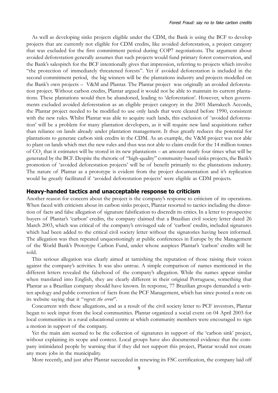As well as developing sinks projects eligible under the CDM, the Bank is using the BCF to develop projects that are currently not eligible for CDM credits, like avoided deforestation, a project category that was excluded for the first commitment period during COP7 negotiations. The argument about avoided deforestation generally assumes that such projects would fund primary forest conservation, and the Bank's salespitch for the BCF intentionally gives that impression, referring to projects which involve "the protection of immediately threatened forests". Yet if avoided deforestation is included in the second commitment period, the big winners will be the plantations industry and projects modelled on the Bank's own projects – V&M and Plantar. The Plantar project was originally an avoided deforestation project. Without carbon credits, Plantar argued it would not be able to maintain its current plantations. These plantations would then be abandoned, leading to 'deforestation'. However, when governments excluded avoided deforestation as an eligible project category in the 2001 Marrakech Accords, the Plantar project needed to be modified to use only lands that were cleared before 1990, consistent with the new rules. Whilst Plantar was able to acquire such lands, this exclusion of 'avoided deforestation' will be a problem for many plantation developers, as it will require new land acquisitions rather than reliance on lands already under plantation management. It thus greatly reduces the potential for plantations to generate carbon sink credits in the CDM. As an example, the V&M project was not able to plant on lands which met the new rules and thus was not able to claim credit for the 14 million tonnes of  $\mathrm{CO}_2$  that it estimates will be stored in its new plantations – an amount nearly four times what will be generated by the BCF. Despite the rhetoric of "high-quality" community-based sinks projects, the Bank's promotion of 'avoided deforestation projects' will be of benefit primarily to the plantations industry. The nature of Plantar as a prototype is evident from the project documentation and it's replication would be greatly facilitated if 'avoided deforestation projects' were eligible as CDM projects.

#### **Heavy-handed tactics and unacceptable response to criticism**

Another reason for concern about the project is the company's response to criticism of its operations. When faced with criticism about its carbon sinks project, Plantar resorted to tactics including the distortion of facts and false allegation of signature falsification to discredit its critics. In a letter to prospective buyers of Plantar's 'carbon' credits, the company claimed that a Brazilian civil society letter dated 26 March 2003, which was critical of the company's envisaged sale of 'carbon' credits, included signatures which had been added to the critical civil society letter without the signatories having been informed. The allegation was then repeated unquestioningly at public conferences in Europe by the Management of the World Bank's Prototype Carbon Fund, under whose auspices Plantar's 'carbon' credits will be sold.

This serious allegation was clearly aimed at tarnishing the reputation of those raising their voices against the company's activities. It was also untrue. A simple comparison of names mentioned in the different letters revealed the falsehood of the company's allegation. While the names appear similar when translated into English, they are clearly different in their original Portuguese, something that Plantar as a Brazilian company should have known. In response, 77 Brazilian groups demanded a written apology and public correction of facts from the PCF Management, which has since posted a note on its website saying that it "*regrets the error*".

Concurrent with these allegations, and as a result of the civil society letter to PCF investors, Plantar began to seek input from the local communities. Plantar organized a social event on 04 April 2003 for local communities in a rural educational centre at which community members were encouraged to sign a motion in support of the company.

Yet the main aim seemed to be the collection of signatures in support of the 'carbon sink' project, without explaining its scope and context. Local groups have also documented evidence that the company intimidated people by warning that if they did not support this project, Plantar would not create any more jobs in the municipality.

More recently, and just after Plantar succeeded in renewing its FSC certification, the company laid off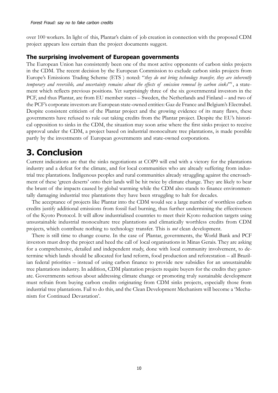over 100 workers. In light of this, Plantar's claim of job creation in connection with the proposed CDM project appears less certain than the project documents suggest.

### **The surprising involvement of European governments**

The European Union has consistently been one of the most active opponents of carbon sinks projects in the CDM. The recent decision by the European Commission to exclude carbon sinks projects from Europe's Emissions Trading Scheme (ETS ) noted: "*they do not bring technology transfer, they are inherently temporary and reversible, and uncertainty remains about the effects of emission removal by carbon sinks*"9 , a statement which reflects previous positions. Yet surprisingly three of the six governmental investors in the PCF, and thus Plantar, are from EU member states – Sweden, the Netherlands and Finland – and two of the PCF's corporate investors are European state-owned entities: Gaz de France and Belgium's Electrabel. Despite consistent criticism of the Plantar project and the growing evidence of its many flaws, these governments have refused to rule out taking credits from the Plantar project. Despite the EU's historical opposition to sinks in the CDM, the situation may soon arise where the first sinks project to receive approval under the CDM, a project based on industrial monoculture tree plantations, is made possible partly by the investments of European governments and state-owned corporations.

# **3. Conclusion**

Current indications are that the sinks negotiations at COP9 will end with a victory for the plantations industry and a defeat for the climate, and for local communities who are already suffering from industrial tree plantations. Indigenous peoples and rural communities already struggling against the encroachment of these 'green deserts' onto their lands will be hit twice by climate change. They are likely to bear the brunt of the impacts caused by global warming while the CDM also stands to finance environmentally damaging industrial tree plantations they have been struggling to halt for decades.

The acceptance of projects like Plantar into the CDM would see a large number of worthless carbon credits justify additional emissions from fossil fuel burning, thus further undermining the effectiveness of the Kyoto Protocol. It will allow industrialised countries to meet their Kyoto reduction targets using unsustainable industrial monoculture tree plantations and climatically worthless credits from CDM projects, which contribute nothing to technology transfer. This is *not* clean development.

There is still time to change course. In the case of Plantar, governments, the World Bank and PCF investors must drop the project and heed the call of local organisations in Minas Gerais. They are asking for a comprehensive, detailed and independent study, done with local community involvement, to determine which lands should be allocated for land reform, food production and reforestation – all Brazilian federal priorities – instead of using carbon finance to provide new subsidies for an unsustainable tree plantations industry. In addition, CDM plantation projects require buyers for the credits they generate. Governments serious about addressing climate change or promoting truly sustainable development must refrain from buying carbon credits originating from CDM sinks projects, especially those from industrial tree plantations. Fail to do this, and the Clean Development Mechanism will become a 'Mechanism for Continued Devastation'.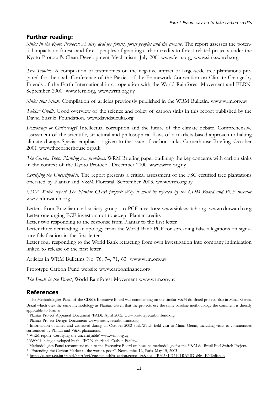# **Further reading:**

*Sinks in the Kyoto Protocol: A dirty deal for forests, forest peoples and the climate*. The report assesses the potential impacts on forests and forest peoples of granting carbon credits to forest-related projects under the Kyoto Protocol's Clean Development Mechanism. July 2001 www.fern.org, www.sinkswatch.org

*Tree Trouble.* A compilation of testimonies on the negative impact of large-scale tree plantations prepared for the sixth Conference of the Parties of the Framework Convention on Climate Change by Friends of the Earth International in co-operation with the World Rainforest Movement and FERN. September 2000. www.fern.org, www.wrm.org.uy

*Sinks that Stink*. Compilation of articles previously published in the WRM Bulletin. www.wrm.org.uy

*Taking Credit.* Good overview of the science and policy of carbon sinks in this report published by the David Suzuki Foundation. www.davidsuzuki.org

*Democracy or Carbocracy?* Intellectual corruption and the future of the climate debate**.** Comprehensive assessment of the scientific, structural and philosophical flaws of a markets-based approach to halting climate change. Special emphasis is given to the issue of carbon sinks. Cornerhouse Briefing. October 2001 www.thecornerhouse.org.uk

*The Carbon Shop: Planting new problems.* WRM Briefing paper outlining the key concerns with carbon sinks in the context of the Kyoto Protocol. December 2000. www.wrm.org.uy

*Certifying the Uncertifyable.* The report presents a critical assessment of the FSC certified tree plantations operated by Plantar and V&M Florestal. September 2003. www.wrm.org.uy

*CDM Watch report The Plantar CDM project: Why it must be rejected by the CDM Board and PCF investor* www.cdmwatch.org

Letters from Brazilian civil society groups to PCF investors: www.sinkswatch.org, www.cdmwatch.org Letter one urging PCF investors not to accept Plantar credits

Letter two responding to the response from Plantar to the first letter

Letter three demanding an apology from the World Bank PCF for spreading false allegations on signature falsification in the first letter

Letter four responding to the World Bank retracting from own investigation into company intimidation linked to release of the first letter

Articles in WRM Bulletins No. 76, 74, 71, 63 www.wrm.org.uy

Prototype Carbon Fund website www.carbonfinance.org

*The Bank in the Forest*, World Rainforest Movement www.wrm.org.uy

# **References**

1 The Methodologies Panel of the CDM's Executive Board was commenting on the similar V&M do Brazil project, also in Minas Gerais, Brazil which uses the same methodology as Plantar. Given that the projects use the same baseline methodology the comment is directly applicable to Plantar.

<sup>2</sup> Plantar Project Appraisal Document (PAD), April 2002; www.prototypecarbonfund.org

<sup>3</sup> Plantar Project Design Document: www.prototypecarbonfund.org

4 Information obtained and witnessed during an October 2003 SinksWatch field visit to Minas Gerais, including visits to communities surrounded by Plantar and V&M plantations.

- 5 WRM report 'Certifying the uncertifyable' www.wrm.org.uy
- 6 V&M is being developed by the IFC-Netherlands Carbon Facility.

<sup>8</sup> "Extending the Carbon Market to the world's poor", Newcombe, K., Paris, May 15, 2003

<sup>9</sup> http://europa.eu.int/rapid/start/cgi/guesten.ksh?p\_action.gettxt=gt&doc=IP/03/1077|0|RAPID &lg=EN&display=

<sup>7</sup> Methodologies Panel recommendation to the Executive Board on baseline methodology for the V&M do Brasil Fuel Switch Project.